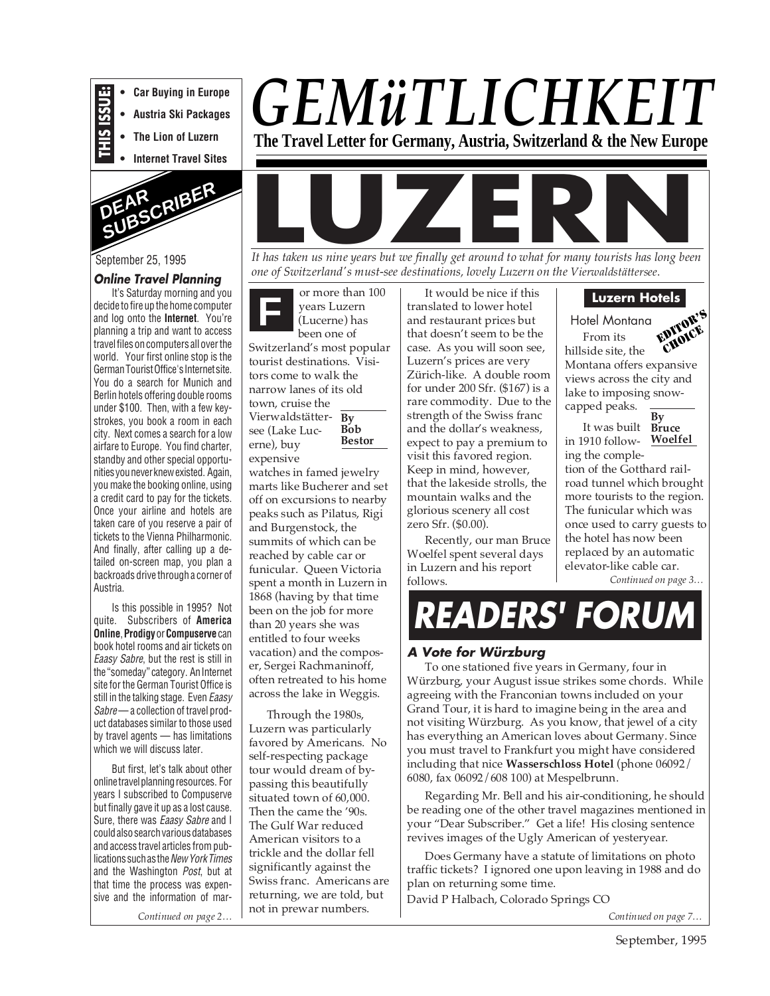

**• Austria Ski Packages**

**• Car Buying in Europe**

**• The Lion of Luzern**

**• Internet Travel Sites**



## September 25, 1995

#### **Online Travel Planning**

It's Saturday morning and you decide to fire up the home computer and log onto the **Internet**. You're planning a trip and want to access travel files on computers all over the world. Your first online stop is the German Tourist Office's Internet site. You do a search for Munich and Berlin hotels offering double rooms under \$100. Then, with a few keystrokes, you book a room in each city. Next comes a search for a low airfare to Europe. You find charter, standby and other special opportunities you never knew existed. Again, you make the booking online, using a credit card to pay for the tickets. Once your airline and hotels are taken care of you reserve a pair of tickets to the Vienna Philharmonic. And finally, after calling up a detailed on-screen map, you plan a backroads drive through a corner of Austria.

Is this possible in 1995? Not quite. Subscribers of **America Online**, **Prodigy**or **Compuserve**can book hotel rooms and air tickets on Eaasy Sabre, but the rest is still in the "someday" category. An Internet site for the German Tourist Office is still in the talking stage. Even Eaasy Sabre— a collection of travel product databases similar to those used by travel agents — has limitations which we will discuss later.

But first, let's talk about other online travel planning resources. For years I subscribed to Compuserve but finally gave it up as a lost cause. Sure, there was *Eaasy Sabre* and I could also search various databases and access travel articles from publications such as the New York Times and the Washington Post, but at that time the process was expensive and the information of mar-

*Continued on page 2…*





*one of Switzerland's must-see destinations, lovely Luzern on the Vierwaldstättersee*.

**F By** Vierwaldstätter-**Bob Bestor** or more than 100 years Luzern (Lucerne) has been one of Switzerland's most popular tourist destinations. Visitors come to walk the narrow lanes of its old town, cruise the see (Lake Lucerne), buy expensive watches in famed jewelry

marts like Bucherer and set off on excursions to nearby peaks such as Pilatus, Rigi and Burgenstock, the summits of which can be reached by cable car or funicular. Queen Victoria spent a month in Luzern in 1868 (having by that time been on the job for more than 20 years she was entitled to four weeks vacation) and the composer, Sergei Rachmaninoff, often retreated to his home across the lake in Weggis.

Through the 1980s, Luzern was particularly favored by Americans. No self-respecting package tour would dream of bypassing this beautifully situated town of 60,000. Then the came the '90s. The Gulf War reduced American visitors to a trickle and the dollar fell significantly against the Swiss franc. Americans are returning, we are told, but not in prewar numbers.

It would be nice if this translated to lower hotel and restaurant prices but that doesn't seem to be the case. As you will soon see, Luzern's prices are very Zürich-like. A double room for under 200 Sfr. (\$167) is a rare commodity. Due to the strength of the Swiss franc and the dollar's weakness, expect to pay a premium to visit this favored region. Keep in mind, however, that the lakeside strolls, the mountain walks and the glorious scenery all cost zero Sfr. (\$0.00).

Recently, our man Bruce Woelfel spent several days in Luzern and his report follows.

## **Luzern Hotels**

Hotel Montana From its hillside site, the Montana offers expansive views across the city and lake to imposing snowcapped peaks. EDITOR'S CHOICE



**Woelfel** in 1910 following the completion of the Gotthard railroad tunnel which brought more tourists to the region. The funicular which was once used to carry guests to the hotel has now been replaced by an automatic elevator-like cable car.

*Continued on page 3…*

# **READERS' FORUM**

## **A Vote for Würzburg**

To one stationed five years in Germany, four in Würzburg, your August issue strikes some chords. While agreeing with the Franconian towns included on your Grand Tour, it is hard to imagine being in the area and not visiting Würzburg. As you know, that jewel of a city has everything an American loves about Germany. Since you must travel to Frankfurt you might have considered including that nice **Wasserschloss Hotel** (phone 06092/ 6080, fax 06092/608 100) at Mespelbrunn.

Regarding Mr. Bell and his air-conditioning, he should be reading one of the other travel magazines mentioned in your "Dear Subscriber." Get a life! His closing sentence revives images of the Ugly American of yesteryear.

Does Germany have a statute of limitations on photo traffic tickets? I ignored one upon leaving in 1988 and do plan on returning some time.

David P Halbach, Colorado Springs CO

*Continued on page 7…*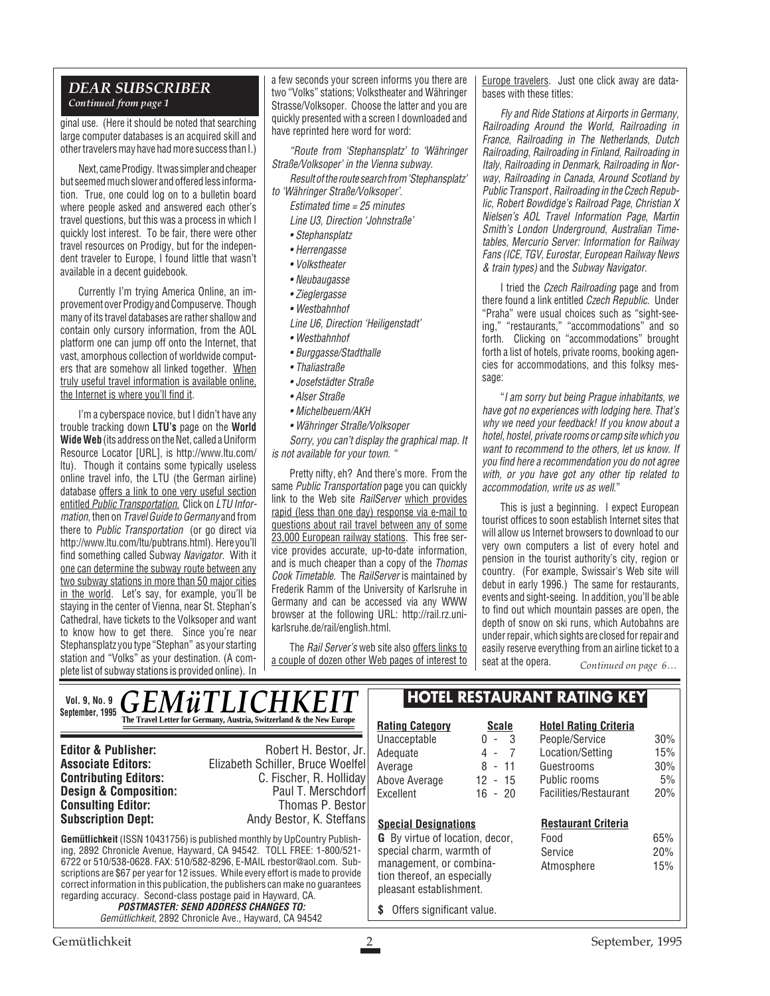## *DEAR SUBSCRIBER Continued from page 1*

ginal use. (Here it should be noted that searching large computer databases is an acquired skill and other travelers may have had more success than I.)

Next, came Prodigy. It was simpler and cheaper but seemed much slower and offered less information. True, one could log on to a bulletin board where people asked and answered each other's travel questions, but this was a process in which I quickly lost interest. To be fair, there were other travel resources on Prodigy, but for the independent traveler to Europe, I found little that wasn't available in a decent guidebook.

Currently I'm trying America Online, an improvement over Prodigy and Compuserve. Though many of its travel databases are rather shallow and contain only cursory information, from the AOL platform one can jump off onto the Internet, that vast, amorphous collection of worldwide computers that are somehow all linked together. When truly useful travel information is available online, the Internet is where you'll find it.

I'm a cyberspace novice, but I didn't have any trouble tracking down **LTU's** page on the **World Wide Web** (its address on the Net, called a Uniform Resource Locator [URL], is http://www.ltu.com/ ltu). Though it contains some typically useless online travel info, the LTU (the German airline) database offers a link to one very useful section entitled Public Transportation. Click on LTU Information, then on Travel Guide to Germany and from there to Public Transportation (or go direct via http://www.ltu.com/ltu/pubtrans.html). Here you'll find something called Subway Navigator. With it one can determine the subway route between any two subway stations in more than 50 major cities in the world. Let's say, for example, you'll be staying in the center of Vienna, near St. Stephan's Cathedral, have tickets to the Volksoper and want to know how to get there. Since you're near Stephansplatz you type "Stephan" as your starting station and "Volks" as your destination. (A complete list of subway stations is provided online). In

a few seconds your screen informs you there are two "Volks" stations; Volkstheater and Währinger Strasse/Volksoper. Choose the latter and you are quickly presented with a screen I downloaded and have reprinted here word for word:

"Route from 'Stephansplatz' to 'Währinger Straße/Volksoper' in the Vienna subway.

Result of the route search from 'Stephansplatz' to 'Währinger Straße/Volksoper'.

Estimated time = 25 minutes

Line U3, Direction 'Johnstraße'

- Stephansplatz
- Herrengasse
- Volkstheater
- Neubaugasse
- Zieglergasse
- Westbahnhof
- Line U6, Direction 'Heiligenstadt'
- Westbahnhof
- Burggasse/Stadthalle
- Thaliastraße
- Josefstädter Straße
- Alser Straße
- Michelbeuern/AKH
- Währinger Straße/Volksoper

Sorry, you can't display the graphical map. It is not available for your town.

Pretty nifty, eh? And there's more. From the same Public Transportation page you can quickly link to the Web site RailServer which provides rapid (less than one day) response via e-mail to questions about rail travel between any of some 23,000 European railway stations. This free service provides accurate, up-to-date information, and is much cheaper than a copy of the Thomas Cook Timetable. The RailServer is maintained by Frederik Ramm of the University of Karlsruhe in Germany and can be accessed via any WWW browser at the following URL: http://rail.rz.unikarlsruhe.de/rail/english.html.

The Rail Server's web site also offers links to a couple of dozen other Web pages of interest to Europe travelers. Just one click away are databases with these titles:

Fly and Ride Stations at Airports in Germany, Railroading Around the World, Railroading in France, Railroading in The Netherlands, Dutch Railroading, Railroading in Finland, Railroading in Italy, Railroading in Denmark, Railroading in Norway, Railroading in Canada, Around Scotland by Public Transport , Railroading in the Czech Republic, Robert Bowdidge's Railroad Page, Christian X Nielsen's AOL Travel Information Page, Martin Smith's London Underground, Australian Timetables, Mercurio Server: Information for Railway Fans (ICE, TGV, Eurostar, European Railway News & train types) and the Subway Navigator.

I tried the Czech Railroading page and from there found a link entitled Czech Republic. Under "Praha" were usual choices such as "sight-seeing," "restaurants," "accommodations" and so forth. Clicking on "accommodations" brought forth a list of hotels, private rooms, booking agencies for accommodations, and this folksy message:

"I am sorry but being Prague inhabitants, we have got no experiences with lodging here. That's why we need your feedback! If you know about a hotel, hostel, private rooms or camp site which you want to recommend to the others, let us know. If you find here a recommendation you do not agree with, or you have got any other tip related to accommodation, write us as well."

This is just a beginning. I expect European tourist offices to soon establish Internet sites that will allow us Internet browsers to download to our very own computers a list of every hotel and pension in the tourist authority's city, region or country. (For example, Swissair's Web site will debut in early 1996.) The same for restaurants, events and sight-seeing. In addition, you'll be able to find out which mountain passes are open, the depth of snow on ski runs, which Autobahns are under repair, which sights are closed for repair and easily reserve everything from an airline ticket to a seat at the opera. *Continued on page 6…*

**Hotel Rating Criteria**

*GEMüTLICHKEI* **The Travel Letter for Germany, Austria, Switzerland & the New Europe**  $\mathbb{R}$ **Vol. 9, No. 9 September, 1995**

**Consulting Editor:**<br>Subscription Dept:

**Editor & Publisher:** Robert H. Bestor, Jr. **Associate Editors:** Elizabeth Schiller, Bruce Woelfel **Contributing Editors:** C. Fischer, R. Holliday<br> **Design & Composition:** Paul T. Merschdorf **Design & Composition:** Paul T. Merschdorf **Consulting Editor:** Paul T. Merschdorf **Consulting Editor:** Paul Thomas P. Bestor **Subscription Dept:** Andy Bestor, K. Steffans

**Gemütlichkeit** (ISSN 10431756) is published monthly by UpCountry Publishing, 2892 Chronicle Avenue, Hayward, CA 94542. TOLL FREE: 1-800/521- 6722 or 510/538-0628. FAX: 510/582-8296, E-MAIL rbestor@aol.com. Subscriptions are \$67 per year for 12 issues. While every effort is made to provide correct information in this publication, the publishers can make no guarantees regarding accuracy. Second-class postage paid in Hayward, CA. **POSTMASTER: SEND ADDRESS CHANGES TO:**

Gemütlichkeit, 2892 Chronicle Ave., Hayward, CA 94542

# **HOTEL RESTAURANT RATING KEY**

| Unacceptable                    | 3<br>U<br>$\overline{\phantom{a}}$ | People/Service             | 30% |  |
|---------------------------------|------------------------------------|----------------------------|-----|--|
| Adequate                        | $\overline{7}$<br>4 -              | Location/Setting           | 15% |  |
| Average                         | 8 - 11                             | Guestrooms                 | 30% |  |
| Above Average                   | $12 - 15$                          | Public rooms               | 5%  |  |
| Excellent                       | $16 - 20$                          | Facilities/Restaurant      | 20% |  |
| <b>Special Designations</b>     |                                    | <b>Restaurant Criteria</b> |     |  |
| G By virtue of location, decor, |                                    | Food                       | 65% |  |
|                                 |                                    |                            |     |  |
| special charm, warmth of        |                                    | Service                    | 20% |  |
| management, or combina-         |                                    | Atmosphere                 | 15% |  |
| tion thereof, an especially     |                                    |                            |     |  |
| pleasant establishment.         |                                    |                            |     |  |

**\$** Offers significant value.

**Rating Category Scale**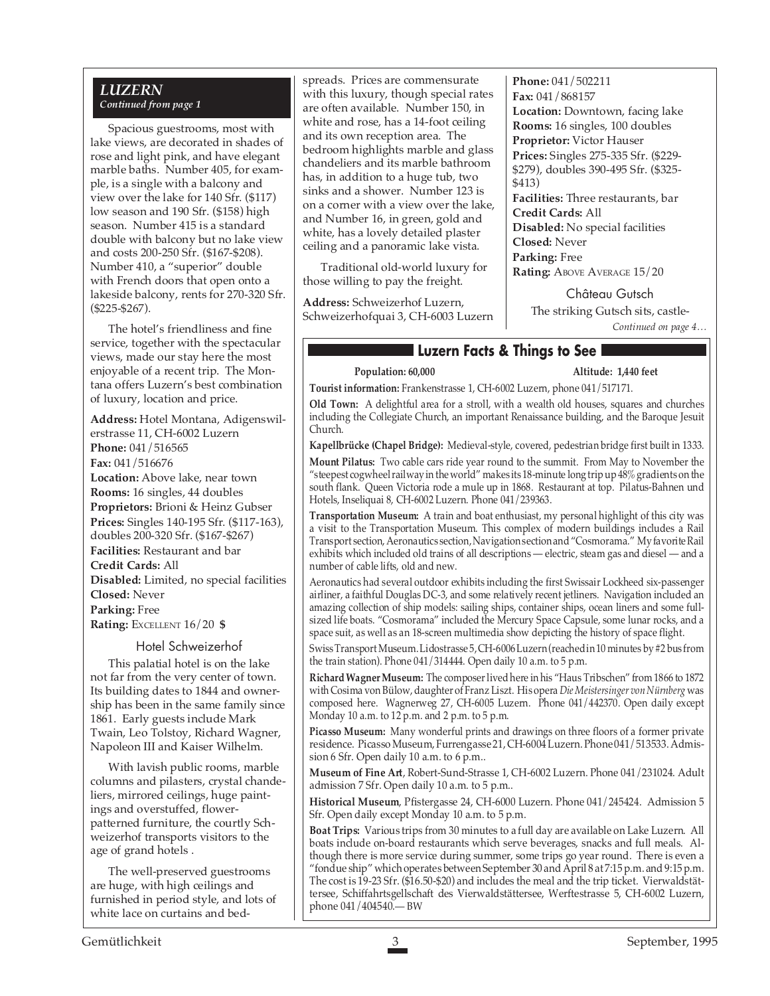## *LUZERN Continued from page 1*

Spacious guestrooms, most with lake views, are decorated in shades of rose and light pink, and have elegant marble baths. Number 405, for example, is a single with a balcony and view over the lake for 140 Sfr. (\$117) low season and 190 Sfr. (\$158) high season. Number 415 is a standard double with balcony but no lake view and costs 200-250 Sfr. (\$167-\$208). Number 410, a "superior" double with French doors that open onto a lakeside balcony, rents for 270-320 Sfr. (\$225-\$267).

The hotel's friendliness and fine service, together with the spectacular views, made our stay here the most enjoyable of a recent trip. The Montana offers Luzern's best combination of luxury, location and price.

**Address:** Hotel Montana, Adigenswilerstrasse 11, CH-6002 Luzern **Phone:** 041/516565 **Fax:** 041/516676 **Location:** Above lake, near town **Rooms:** 16 singles, 44 doubles **Proprietors:** Brioni & Heinz Gubser **Prices:** Singles 140-195 Sfr. (\$117-163), doubles 200-320 Sfr. (\$167-\$267) **Facilities:** Restaurant and bar **Credit Cards:** All **Disabled:** Limited, no special facilities **Closed:** Never **Parking:** Free **Rating:** EXCELLENT 16/20 **\$**

#### Hotel Schweizerhof

This palatial hotel is on the lake not far from the very center of town. Its building dates to 1844 and ownership has been in the same family since 1861. Early guests include Mark Twain, Leo Tolstoy, Richard Wagner, Napoleon III and Kaiser Wilhelm.

With lavish public rooms, marble columns and pilasters, crystal chandeliers, mirrored ceilings, huge paintings and overstuffed, flowerpatterned furniture, the courtly Schweizerhof transports visitors to the age of grand hotels .

The well-preserved guestrooms are huge, with high ceilings and furnished in period style, and lots of white lace on curtains and bedspreads. Prices are commensurate with this luxury, though special rates are often available. Number 150, in white and rose, has a 14-foot ceiling and its own reception area. The bedroom highlights marble and glass chandeliers and its marble bathroom has, in addition to a huge tub, two sinks and a shower. Number 123 is on a corner with a view over the lake, and Number 16, in green, gold and white, has a lovely detailed plaster ceiling and a panoramic lake vista.

Traditional old-world luxury for those willing to pay the freight.

**Address:** Schweizerhof Luzern, Schweizerhofquai 3, CH-6003 Luzern **Phone:** 041/502211 **Fax:** 041/868157 **Location:** Downtown, facing lake **Rooms:** 16 singles, 100 doubles **Proprietor:** Victor Hauser **Prices:** Singles 275-335 Sfr. (\$229- \$279), doubles 390-495 Sfr. (\$325- \$413) **Facilities:** Three restaurants, bar **Credit Cards:** All **Disabled:** No special facilities **Closed:** Never

**Parking:** Free **Rating: ABOVE AVERAGE 15/20** 

> *Continued on page 4…* Château Gutsch The striking Gutsch sits, castle-

# **Luzern Facts & Things to See**

**Population: 60,000 Altitude: 1,440 feet**

**Tourist information:** Frankenstrasse 1, CH-6002 Luzern, phone 041/517171.

**Old Town:** A delightful area for a stroll, with a wealth old houses, squares and churches including the Collegiate Church, an important Renaissance building, and the Baroque Jesuit Church.

**Kapellbrücke (Chapel Bridge):** Medieval-style, covered, pedestrian bridge first built in 1333.

**Mount Pilatus:** Two cable cars ride year round to the summit. From May to November the "steepest cogwheel railway in the world" makes its 18-minute long trip up 48% gradients on the south flank. Queen Victoria rode a mule up in 1868. Restaurant at top. Pilatus-Bahnen und Hotels, Inseliquai 8, CH-6002 Luzern. Phone 041/239363.

**Transportation Museum:** A train and boat enthusiast, my personal highlight of this city was a visit to the Transportation Museum. This complex of modern buildings includes a Rail Transport section, Aeronautics section, Navigation section and "Cosmorama." My favorite Rail exhibits which included old trains of all descriptions — electric, steam gas and diesel — and a number of cable lifts, old and new.

Aeronautics had several outdoor exhibits including the first Swissair Lockheed six-passenger airliner, a faithful Douglas DC-3, and some relatively recent jetliners. Navigation included an amazing collection of ship models: sailing ships, container ships, ocean liners and some fullsized life boats. "Cosmorama" included the Mercury Space Capsule, some lunar rocks, and a space suit, as well as an 18-screen multimedia show depicting the history of space flight.

Swiss Transport Museum. Lidostrasse 5, CH-6006 Luzern (reached in 10 minutes by #2 bus from the train station). Phone 041/314444. Open daily 10 a.m. to 5 p.m.

**Richard Wagner Museum:** The composer lived here in his "Haus Tribschen" from 1866 to 1872 with Cosima von Bülow, daughter of Franz Liszt. His opera *Die Meistersinger von Nürnberg* was composed here. Wagnerweg 27, CH-6005 Luzern. Phone 041/442370. Open daily except Monday 10 a.m. to 12 p.m. and 2 p.m. to 5 p.m.

**Picasso Museum:** Many wonderful prints and drawings on three floors of a former private residence. Picasso Museum, Furrengasse 21, CH-6004 Luzern. Phone 041/513533. Admission 6 Sfr. Open daily 10 a.m. to 6 p.m..

**Museum of Fine Art**, Robert-Sund-Strasse 1, CH-6002 Luzern. Phone 041/231024. Adult admission 7 Sfr. Open daily 10 a.m. to 5 p.m..

**Historical Museum**, Pfistergasse 24, CH-6000 Luzern. Phone 041/245424. Admission 5 Sfr. Open daily except Monday 10 a.m. to 5 p.m.

**Boat Trips:** Various trips from 30 minutes to a full day are available on Lake Luzern. All boats include on-board restaurants which serve beverages, snacks and full meals. Although there is more service during summer, some trips go year round. There is even a "fondue ship" which operates between September 30 and April 8 at 7:15 p.m. and 9:15 p.m. The cost is 19-23 Sfr. (\$16.50-\$20) and includes the meal and the trip ticket. Vierwaldstättersee, Schiffahrtsgellschaft des Vierwaldstättersee, Werftestrasse 5, CH-6002 Luzern, phone 041/404540.— BW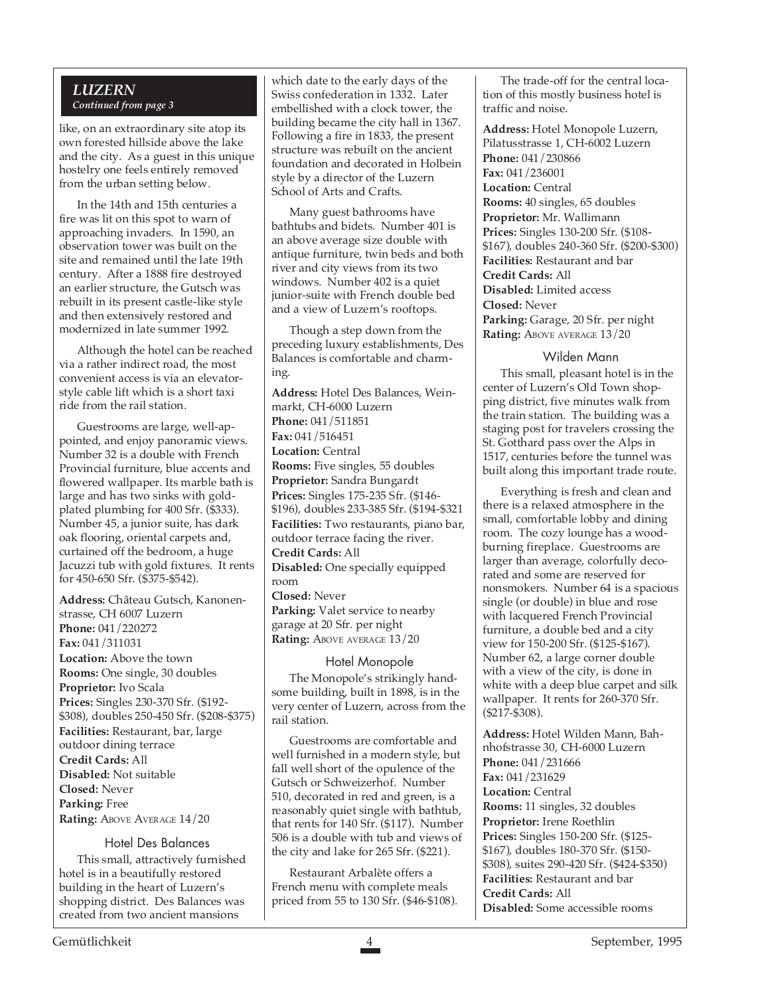## *LUZERN Continued from page 3*

like, on an extraordinary site atop its own forested hillside above the lake and the city. As a guest in this unique hostelry one feels entirely removed from the urban setting below.

In the 14th and 15th centuries a fire was lit on this spot to warn of approaching invaders. In 1590, an observation tower was built on the site and remained until the late 19th century. After a 1888 fire destroyed an earlier structure, the Gutsch was rebuilt in its present castle-like style and then extensively restored and modernized in late summer 1992.

Although the hotel can be reached via a rather indirect road, the most convenient access is via an elevatorstyle cable lift which is a short taxi ride from the rail station.

Guestrooms are large, well-appointed, and enjoy panoramic views. Number 32 is a double with French Provincial furniture, blue accents and flowered wallpaper. Its marble bath is large and has two sinks with goldplated plumbing for 400 Sfr. (\$333). Number 45, a junior suite, has dark oak flooring, oriental carpets and, curtained off the bedroom, a huge Jacuzzi tub with gold fixtures. It rents for 450-650 Sfr. (\$375-\$542).

**Address:** Château Gutsch, Kanonenstrasse, CH 6007 Luzern **Phone:** 041/220272 **Fax:** 041/311031 **Location:** Above the town **Rooms:** One single, 30 doubles **Proprietor:** Ivo Scala **Prices:** Singles 230-370 Sfr. (\$192- \$308), doubles 250-450 Sfr. (\$208-\$375) **Facilities:** Restaurant, bar, large outdoor dining terrace **Credit Cards:** All **Disabled:** Not suitable **Closed:** Never **Parking:** Free **Rating: ABOVE AVERAGE 14/20** 

#### Hotel Des Balances

This small, attractively furnished hotel is in a beautifully restored building in the heart of Luzern's shopping district. Des Balances was created from two ancient mansions

which date to the early days of the Swiss confederation in 1332. Later embellished with a clock tower, the building became the city hall in 1367. Following a fire in 1833, the present structure was rebuilt on the ancient foundation and decorated in Holbein style by a director of the Luzern School of Arts and Crafts.

Many guest bathrooms have bathtubs and bidets. Number 401 is an above average size double with antique furniture, twin beds and both river and city views from its two windows. Number 402 is a quiet junior-suite with French double bed and a view of Luzern's rooftops.

Though a step down from the preceding luxury establishments, Des Balances is comfortable and charming.

**Address:** Hotel Des Balances, Weinmarkt, CH-6000 Luzern **Phone:** 041/511851 **Fax:** 041/516451 **Location:** Central **Rooms:** Five singles, 55 doubles **Proprietor:** Sandra Bungardt **Prices:** Singles 175-235 Sfr. (\$146- \$196), doubles 233-385 Sfr. (\$194-\$321 **Facilities:** Two restaurants, piano bar, outdoor terrace facing the river. **Credit Cards:** All **Disabled:** One specially equipped room **Closed:** Never **Parking:** Valet service to nearby garage at 20 Sfr. per night **Rating:** ABOVE AVERAGE  $13/20$ 

## Hotel Monopole

The Monopole's strikingly handsome building, built in 1898, is in the very center of Luzern, across from the rail station.

Guestrooms are comfortable and well furnished in a modern style, but fall well short of the opulence of the Gutsch or Schweizerhof. Number 510, decorated in red and green, is a reasonably quiet single with bathtub, that rents for 140 Sfr. (\$117). Number 506 is a double with tub and views of the city and lake for 265 Sfr. (\$221).

Restaurant Arbalète offers a French menu with complete meals priced from 55 to 130 Sfr. (\$46-\$108).

The trade-off for the central location of this mostly business hotel is traffic and noise.

**Address:** Hotel Monopole Luzern, Pilatusstrasse 1, CH-6002 Luzern **Phone:** 041/230866 **Fax:** 041/236001 **Location:** Central **Rooms:** 40 singles, 65 doubles **Proprietor:** Mr. Wallimann **Prices:** Singles 130-200 Sfr. (\$108- \$167), doubles 240-360 Sfr. (\$200-\$300) **Facilities:** Restaurant and bar **Credit Cards:** All **Disabled:** Limited access **Closed:** Never **Parking:** Garage, 20 Sfr. per night Rating: ABOVE AVERAGE  $13/20$ 

#### Wilden Mann

This small, pleasant hotel is in the center of Luzern's Old Town shopping district, five minutes walk from the train station. The building was a staging post for travelers crossing the St. Gotthard pass over the Alps in 1517, centuries before the tunnel was built along this important trade route.

Everything is fresh and clean and there is a relaxed atmosphere in the small, comfortable lobby and dining room. The cozy lounge has a woodburning fireplace. Guestrooms are larger than average, colorfully decorated and some are reserved for nonsmokers. Number 64 is a spacious single (or double) in blue and rose with lacquered French Provincial furniture, a double bed and a city view for 150-200 Sfr. (\$125-\$167). Number 62, a large corner double with a view of the city, is done in white with a deep blue carpet and silk wallpaper. It rents for 260-370 Sfr. (\$217-\$308).

**Address:** Hotel Wilden Mann, Bahnhofstrasse 30, CH-6000 Luzern **Phone:** 041/231666 **Fax:** 041/231629 **Location:** Central **Rooms:** 11 singles, 32 doubles **Proprietor:** Irene Roethlin **Prices:** Singles 150-200 Sfr. (\$125- \$167), doubles 180-370 Sfr. (\$150- \$308), suites 290-420 Sfr. (\$424-\$350) **Facilities:** Restaurant and bar **Credit Cards:** All **Disabled:** Some accessible rooms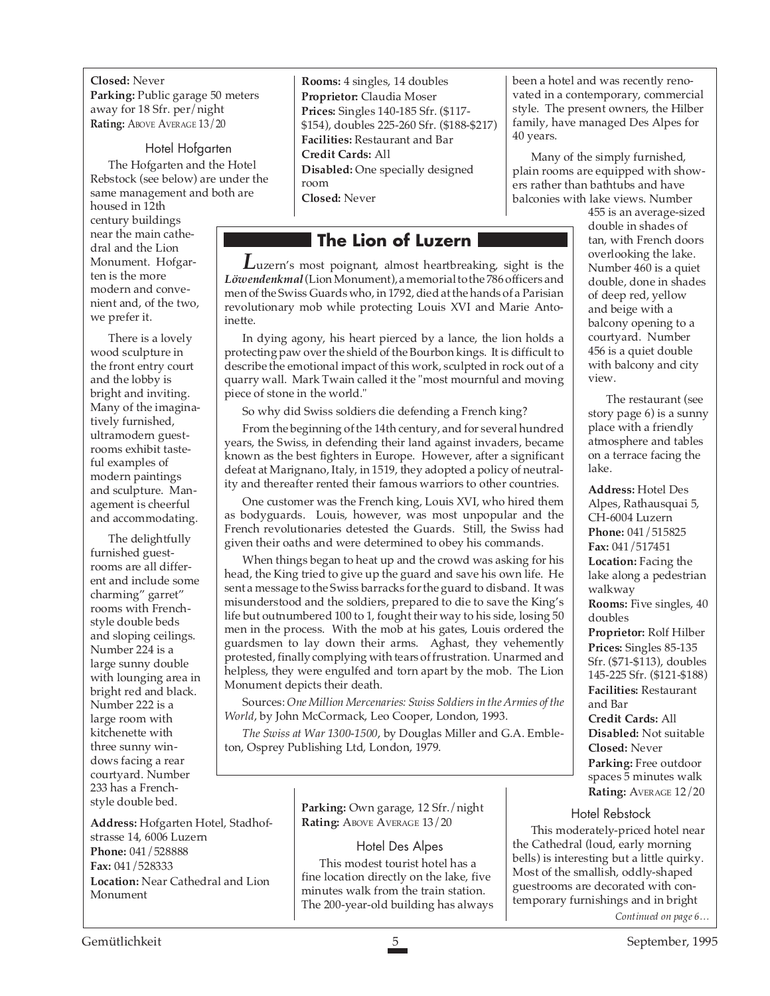**Closed:** Never **Parking:** Public garage 50 meters away for 18 Sfr. per/night **Rating:** ABOVE AVERAGE 13/20

#### Hotel Hofgarten

The Hofgarten and the Hotel Rebstock (see below) are under the same management and both are

housed in 12th century buildings near the main cathedral and the Lion Monument. Hofgarten is the more modern and convenient and, of the two, we prefer it.

There is a lovely wood sculpture in the front entry court and the lobby is bright and inviting. Many of the imaginatively furnished, ultramodern guestrooms exhibit tasteful examples of modern paintings and sculpture. Management is cheerful and accommodating.

The delightfully furnished guestrooms are all different and include some charming" garret" rooms with Frenchstyle double beds and sloping ceilings. Number 224 is a large sunny double with lounging area in bright red and black. Number 222 is a large room with kitchenette with three sunny windows facing a rear courtyard. Number 233 has a Frenchstyle double bed.

**Address:** Hofgarten Hotel, Stadhofstrasse 14, 6006 Luzern **Phone:** 041/528888 **Fax:** 041/528333 **Location:** Near Cathedral and Lion Monument

**Rooms:** 4 singles, 14 doubles **Proprietor:** Claudia Moser **Prices:** Singles 140-185 Sfr. (\$117- \$154), doubles 225-260 Sfr. (\$188-\$217) **Facilities:** Restaurant and Bar **Credit Cards:** All **Disabled:** One specially designed room **Closed:** Never

# **The Lion of Luzern**

*L*uzern's most poignant, almost heartbreaking, sight is the *Löwendenkmal*(Lion Monument), a memorial to the 786 officers and men of the Swiss Guards who, in 1792, died at the hands of a Parisian revolutionary mob while protecting Louis XVI and Marie Antoinette.

In dying agony, his heart pierced by a lance, the lion holds a protecting paw over the shield of the Bourbon kings. It is difficult to describe the emotional impact of this work, sculpted in rock out of a quarry wall. Mark Twain called it the "most mournful and moving piece of stone in the world."

So why did Swiss soldiers die defending a French king?

From the beginning of the 14th century, and for several hundred years, the Swiss, in defending their land against invaders, became known as the best fighters in Europe. However, after a significant defeat at Marignano, Italy, in 1519, they adopted a policy of neutrality and thereafter rented their famous warriors to other countries.

One customer was the French king, Louis XVI, who hired them as bodyguards. Louis, however, was most unpopular and the French revolutionaries detested the Guards. Still, the Swiss had given their oaths and were determined to obey his commands.

When things began to heat up and the crowd was asking for his head, the King tried to give up the guard and save his own life. He sent a message to the Swiss barracks for the guard to disband. It was misunderstood and the soldiers, prepared to die to save the King's life but outnumbered 100 to 1, fought their way to his side, losing 50 men in the process. With the mob at his gates, Louis ordered the guardsmen to lay down their arms. Aghast, they vehemently protested, finally complying with tears of frustration. Unarmed and helpless, they were engulfed and torn apart by the mob. The Lion Monument depicts their death.

Sources: *One Million Mercenaries: Swiss Soldiers in the Armies of the World*, by John McCormack, Leo Cooper, London, 1993.

*The Swiss at War 1300-1500*, by Douglas Miller and G.A. Embleton, Osprey Publishing Ltd, London, 1979.

> **Parking:** Own garage, 12 Sfr./night **Rating:** ABOVE AVERAGE 13/20

## Hotel Des Alpes

This modest tourist hotel has a fine location directly on the lake, five minutes walk from the train station. The 200-year-old building has always been a hotel and was recently renovated in a contemporary, commercial style. The present owners, the Hilber family, have managed Des Alpes for 40 years.

Many of the simply furnished, plain rooms are equipped with showers rather than bathtubs and have balconies with lake views. Number

455 is an average-sized double in shades of tan, with French doors overlooking the lake. Number 460 is a quiet double, done in shades of deep red, yellow and beige with a balcony opening to a courtyard. Number 456 is a quiet double with balcony and city view.

The restaurant (see story page 6) is a sunny place with a friendly atmosphere and tables on a terrace facing the lake.

**Address:** Hotel Des Alpes, Rathausquai 5, CH-6004 Luzern **Phone:** 041/515825 **Fax:** 041/517451 **Location:** Facing the lake along a pedestrian walkway **Rooms:** Five singles, 40 doubles **Proprietor:** Rolf Hilber **Prices:** Singles 85-135 Sfr. (\$71-\$113), doubles 145-225 Sfr. (\$121-\$188) **Facilities:** Restaurant

and Bar **Credit Cards:** All **Disabled:** Not suitable **Closed:** Never **Parking:** Free outdoor spaces 5 minutes walk **Rating:** AVERAGE 12/20

## Hotel Rebstock

This moderately-priced hotel near the Cathedral (loud, early morning bells) is interesting but a little quirky. Most of the smallish, oddly-shaped guestrooms are decorated with contemporary furnishings and in bright

*Continued on page 6…*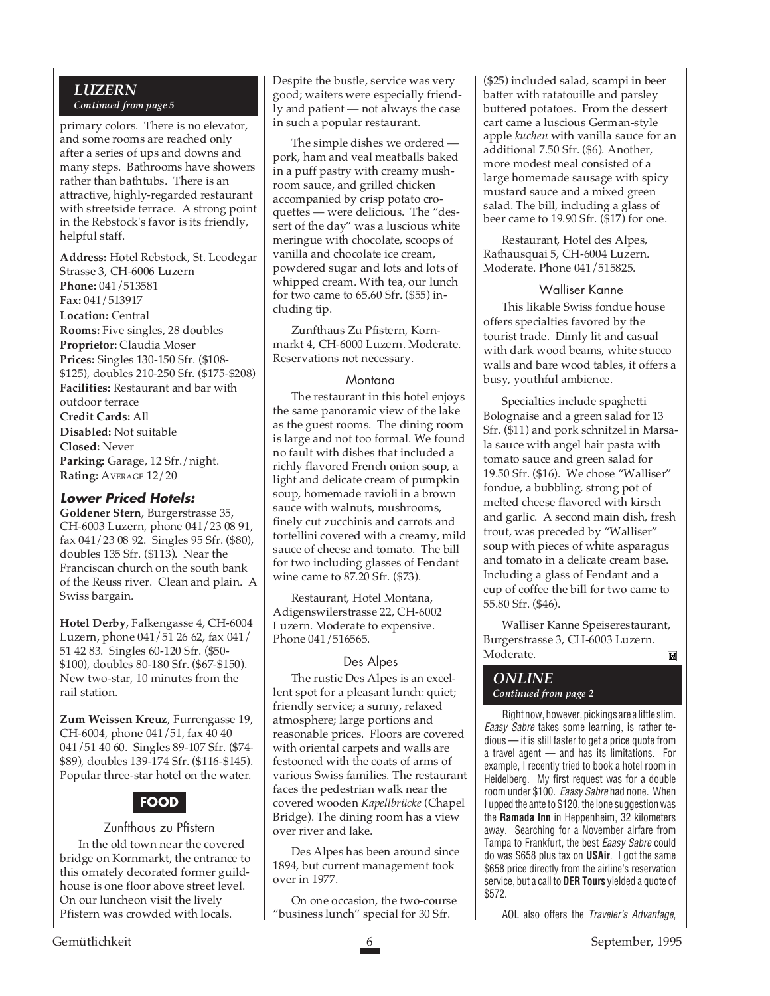## *LUZERN Continued from page 5*

primary colors. There is no elevator, and some rooms are reached only after a series of ups and downs and many steps. Bathrooms have showers rather than bathtubs. There is an attractive, highly-regarded restaurant with streetside terrace. A strong point in the Rebstock's favor is its friendly, helpful staff.

**Address:** Hotel Rebstock, St. Leodegar Strasse 3, CH-6006 Luzern **Phone:** 041/513581 **Fax:** 041/513917 **Location:** Central **Rooms:** Five singles, 28 doubles **Proprietor:** Claudia Moser **Prices:** Singles 130-150 Sfr. (\$108- \$125), doubles 210-250 Sfr. (\$175-\$208) **Facilities:** Restaurant and bar with outdoor terrace **Credit Cards:** All **Disabled:** Not suitable **Closed:** Never Parking: Garage, 12 Sfr./night. **Rating:** AVERAGE 12/20

### **Lower Priced Hotels:**

**Goldener Stern**, Burgerstrasse 35, CH-6003 Luzern, phone 041/23 08 91, fax 041/23 08 92. Singles 95 Sfr. (\$80), doubles 135 Sfr. (\$113). Near the Franciscan church on the south bank of the Reuss river. Clean and plain. A Swiss bargain.

**Hotel Derby**, Falkengasse 4, CH-6004 Luzern, phone 041/51 26 62, fax 041/ 51 42 83. Singles 60-120 Sfr. (\$50- \$100), doubles 80-180 Sfr. (\$67-\$150). New two-star, 10 minutes from the rail station.

**Zum Weissen Kreuz**, Furrengasse 19, CH-6004, phone 041/51, fax 40 40 041/51 40 60. Singles 89-107 Sfr. (\$74- \$89), doubles 139-174 Sfr. (\$116-\$145). Popular three-star hotel on the water.

## **FOOD**

#### Zunfthaus zu Pfistern

In the old town near the covered bridge on Kornmarkt, the entrance to this ornately decorated former guildhouse is one floor above street level. On our luncheon visit the lively Pfistern was crowded with locals.

Despite the bustle, service was very good; waiters were especially friendly and patient — not always the case in such a popular restaurant.

The simple dishes we ordered pork, ham and veal meatballs baked in a puff pastry with creamy mushroom sauce, and grilled chicken accompanied by crisp potato croquettes — were delicious. The "dessert of the day" was a luscious white meringue with chocolate, scoops of vanilla and chocolate ice cream, powdered sugar and lots and lots of whipped cream. With tea, our lunch for two came to 65.60 Sfr. (\$55) including tip.

Zunfthaus Zu Pfistern, Kornmarkt 4, CH-6000 Luzern. Moderate. Reservations not necessary.

## **Montana**

The restaurant in this hotel enjoys the same panoramic view of the lake as the guest rooms. The dining room is large and not too formal. We found no fault with dishes that included a richly flavored French onion soup, a light and delicate cream of pumpkin soup, homemade ravioli in a brown sauce with walnuts, mushrooms, finely cut zucchinis and carrots and tortellini covered with a creamy, mild sauce of cheese and tomato. The bill for two including glasses of Fendant wine came to 87.20 Sfr. (\$73).

Restaurant, Hotel Montana, Adigenswilerstrasse 22, CH-6002 Luzern. Moderate to expensive. Phone 041/516565.

#### Des Alpes

The rustic Des Alpes is an excellent spot for a pleasant lunch: quiet; friendly service; a sunny, relaxed atmosphere; large portions and reasonable prices. Floors are covered with oriental carpets and walls are festooned with the coats of arms of various Swiss families. The restaurant faces the pedestrian walk near the covered wooden *Kapellbrücke* (Chapel Bridge). The dining room has a view over river and lake.

Des Alpes has been around since 1894, but current management took over in 1977.

On one occasion, the two-course "business lunch" special for 30 Sfr.

(\$25) included salad, scampi in beer batter with ratatouille and parsley buttered potatoes. From the dessert cart came a luscious German-style apple *kuchen* with vanilla sauce for an additional 7.50 Sfr. (\$6). Another, more modest meal consisted of a large homemade sausage with spicy mustard sauce and a mixed green salad. The bill, including a glass of beer came to 19.90 Sfr. (\$17) for one.

Restaurant, Hotel des Alpes, Rathausquai 5, CH-6004 Luzern. Moderate. Phone 041/515825.

## Walliser Kanne

This likable Swiss fondue house offers specialties favored by the tourist trade. Dimly lit and casual with dark wood beams, white stucco walls and bare wood tables, it offers a busy, youthful ambience.

Specialties include spaghetti Bolognaise and a green salad for 13 Sfr. (\$11) and pork schnitzel in Marsala sauce with angel hair pasta with tomato sauce and green salad for 19.50 Sfr. (\$16). We chose "Walliser" fondue, a bubbling, strong pot of melted cheese flavored with kirsch and garlic. A second main dish, fresh trout, was preceded by "Walliser" soup with pieces of white asparagus and tomato in a delicate cream base. Including a glass of Fendant and a cup of coffee the bill for two came to 55.80 Sfr. (\$46).

Walliser Kanne Speiserestaurant, Burgerstrasse 3, CH-6003 Luzern. Moderate. M

# *ONLINE*

*Continued from page 2*

Right now, however, pickings are a little slim. Eaasy Sabre takes some learning, is rather tedious — it is still faster to get a price quote from a travel agent — and has its limitations. For example, I recently tried to book a hotel room in Heidelberg. My first request was for a double room under \$100. Eaasy Sabre had none. When I upped the ante to \$120, the lone suggestion was the **Ramada Inn** in Heppenheim, 32 kilometers away. Searching for a November airfare from Tampa to Frankfurt, the best Eaasy Sabre could do was \$658 plus tax on **USAir**. I got the same \$658 price directly from the airline's reservation service, but a call to **DER Tours** yielded a quote of \$572.

AOL also offers the Traveler's Advantage,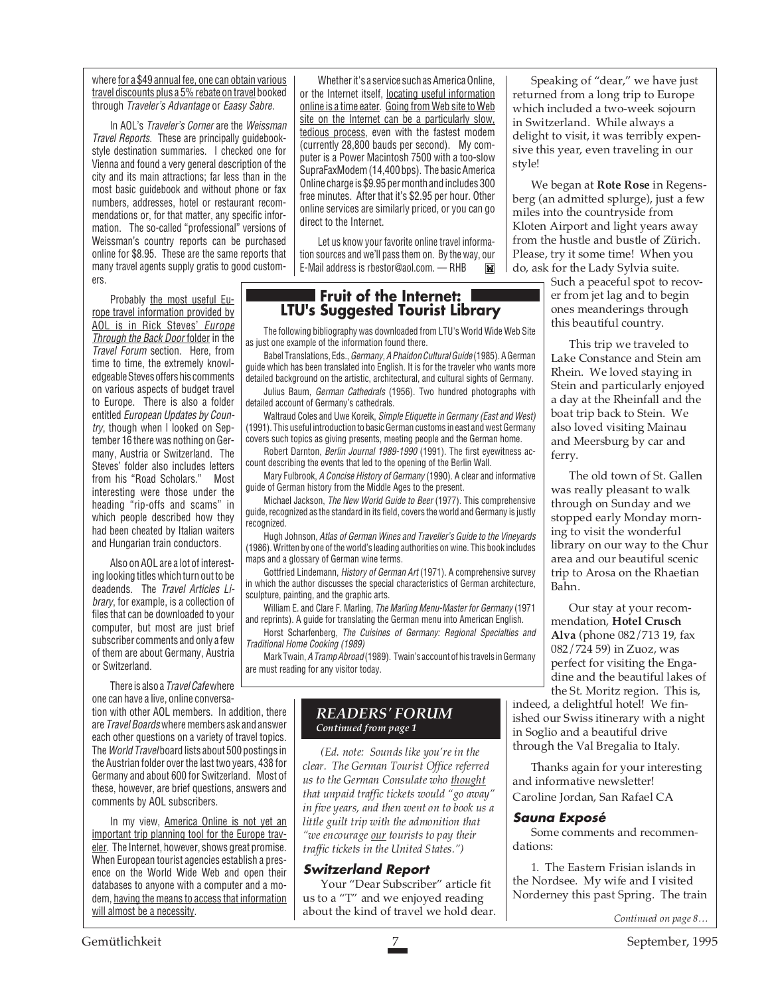where for a \$49 annual fee, one can obtain various travel discounts plus a 5% rebate on travel booked through Traveler's Advantage or Eaasy Sabre.

In AOL's Traveler's Corner are the Weissman Travel Reports. These are principally guidebookstyle destination summaries. I checked one for Vienna and found a very general description of the city and its main attractions; far less than in the most basic guidebook and without phone or fax numbers, addresses, hotel or restaurant recommendations or, for that matter, any specific information. The so-called "professional" versions of Weissman's country reports can be purchased online for \$8.95. These are the same reports that many travel agents supply gratis to good customers.

Probably the most useful Europe travel information provided by AOL is in Rick Steves' Europe Through the Back Door folder in the Travel Forum section. Here, from time to time, the extremely knowledgeable Steves offers his comments on various aspects of budget travel to Europe. There is also a folder entitled European Updates by Country, though when I looked on September 16 there was nothing on Germany, Austria or Switzerland. The Steves' folder also includes letters from his "Road Scholars." Most interesting were those under the heading "rip-offs and scams" in which people described how they had been cheated by Italian waiters and Hungarian train conductors.

Also on AOL are a lot of interesting looking titles which turn out to be deadends. The Travel Articles Library, for example, is a collection of files that can be downloaded to your computer, but most are just brief subscriber comments and only a few of them are about Germany, Austria or Switzerland.

There is also a Travel Cafe where one can have a live, online conversa-

tion with other AOL members. In addition, there are Travel Boards where members ask and answer each other questions on a variety of travel topics. The World Travel board lists about 500 postings in the Austrian folder over the last two years, 438 for Germany and about 600 for Switzerland. Most of these, however, are brief questions, answers and comments by AOL subscribers.

In my view, America Online is not yet an important trip planning tool for the Europe traveler. The Internet, however, shows great promise. When European tourist agencies establish a presence on the World Wide Web and open their databases to anyone with a computer and a modem, having the means to access that information will almost be a necessity.

Whether it's a service such as America Online, or the Internet itself, locating useful information online is a time eater. Going from Web site to Web site on the Internet can be a particularly slow, tedious process, even with the fastest modem (currently 28,800 bauds per second). My computer is a Power Macintosh 7500 with a too-slow SupraFaxModem (14,400 bps). The basic America Online charge is \$9.95 per month and includes 300 free minutes. After that it's \$2.95 per hour. Other online services are similarly priced, or you can go direct to the Internet.

Let us know your favorite online travel information sources and we'll pass them on. By the way, our E-Mail address is rbestor@aol.com. — RHB**Tivel** 

## **Fruit of the Internet: LTU's Suggested Tourist Library**

The following bibliography was downloaded from LTU's World Wide Web Site as just one example of the information found there.

Babel Translations, Eds., Germany, A Phaidon Cultural Guide (1985). A German guide which has been translated into English. It is for the traveler who wants more detailed background on the artistic, architectural, and cultural sights of Germany.

Julius Baum, German Cathedrals (1956). Two hundred photographs with detailed account of Germany's cathedrals.

Waltraud Coles and Uwe Koreik, Simple Etiquette in Germany (East and West) (1991). This useful introduction to basic German customs in east and west Germany covers such topics as giving presents, meeting people and the German home.

Robert Darnton, Berlin Journal 1989-1990 (1991). The first eyewitness account describing the events that led to the opening of the Berlin Wall.

Mary Fulbrook, A Concise History of Germany (1990). A clear and informative guide of German history from the Middle Ages to the present.

Michael Jackson, The New World Guide to Beer (1977). This comprehensive guide, recognized as the standard in its field, covers the world and Germany is justly recognized.

Hugh Johnson, Atlas of German Wines and Traveller's Guide to the Vineyards (1986). Written by one of the world's leading authorities on wine. This book includes maps and a glossary of German wine terms.

Gottfried Lindemann, History of German Art (1971). A comprehensive survey in which the author discusses the special characteristics of German architecture, sculpture, painting, and the graphic arts.

William E. and Clare F. Marling, The Marling Menu-Master for Germany (1971 and reprints). A guide for translating the German menu into American English.

Horst Scharfenberg, The Cuisines of Germany: Regional Specialties and Traditional Home Cooking (1989)

Mark Twain, A Tramp Abroad (1989). Twain's account of his travels in Germany are must reading for any visitor today.

## *READERS' FORUM Continued from page 1*

*(Ed. note: Sounds like you're in the clear. The German Tourist Office referred us to the German Consulate who thought that unpaid traffic tickets would "go away" in five years, and then went on to book us a little guilt trip with the admonition that "we encourage our tourists to pay their traffic tickets in the United States.")*

## **Switzerland Report**

Your "Dear Subscriber" article fit us to a "T" and we enjoyed reading about the kind of travel we hold dear.

Speaking of "dear," we have just returned from a long trip to Europe which included a two-week sojourn in Switzerland. While always a delight to visit, it was terribly expensive this year, even traveling in our style!

We began at **Rote Rose** in Regensberg (an admitted splurge), just a few miles into the countryside from Kloten Airport and light years away from the hustle and bustle of Zürich. Please, try it some time! When you do, ask for the Lady Sylvia suite.

Such a peaceful spot to recover from jet lag and to begin ones meanderings through this beautiful country.

This trip we traveled to Lake Constance and Stein am Rhein. We loved staying in Stein and particularly enjoyed a day at the Rheinfall and the boat trip back to Stein. We also loved visiting Mainau and Meersburg by car and ferry.

The old town of St. Gallen was really pleasant to walk through on Sunday and we stopped early Monday morning to visit the wonderful library on our way to the Chur area and our beautiful scenic trip to Arosa on the Rhaetian Bahn.

Our stay at your recommendation, **Hotel Crusch Alva** (phone 082/713 19, fax 082/724 59) in Zuoz, was perfect for visiting the Engadine and the beautiful lakes of the St. Moritz region. This is,

indeed, a delightful hotel! We finished our Swiss itinerary with a night in Soglio and a beautiful drive through the Val Bregalia to Italy.

Thanks again for your interesting and informative newsletter! Caroline Jordan, San Rafael CA

#### **Sauna Exposé**

Some comments and recommendations:

1. The Eastern Frisian islands in the Nordsee. My wife and I visited Norderney this past Spring. The train

*Continued on page 8…*